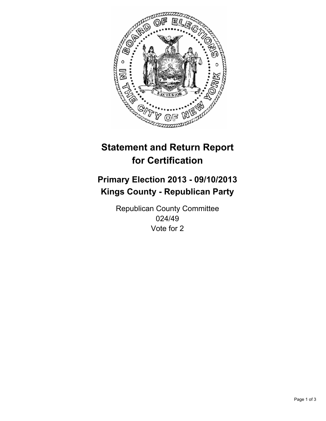

# **Statement and Return Report for Certification**

## **Primary Election 2013 - 09/10/2013 Kings County - Republican Party**

Republican County Committee 024/49 Vote for 2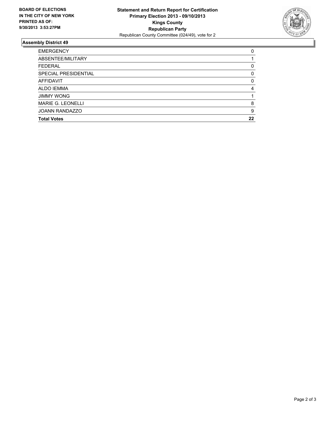

### **Assembly District 49**

| ABSENTEE/MILITARY        |    |
|--------------------------|----|
| <b>FEDERAL</b>           | 0  |
| SPECIAL PRESIDENTIAL     | 0  |
| <b>AFFIDAVIT</b>         | 0  |
| <b>ALDO IEMMA</b>        | 4  |
| <b>JIMMY WONG</b>        |    |
| <b>MARIE G. LEONELLI</b> | 8  |
| <b>JOANN RANDAZZO</b>    | 9  |
| <b>Total Votes</b>       | 22 |